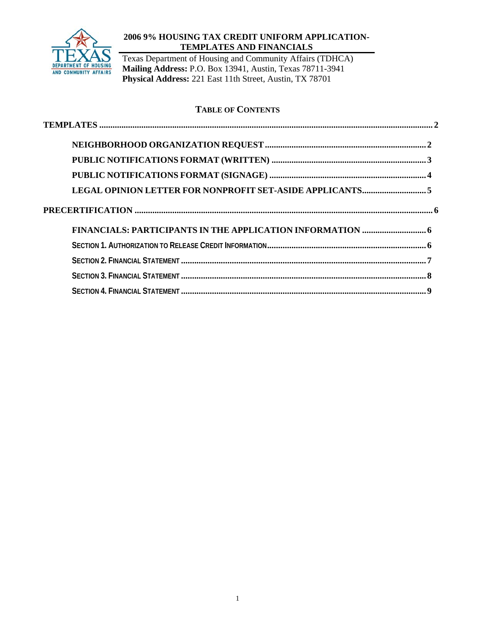

## **2006 9% HOUSING TAX CREDIT UNIFORM APPLICATION-TEMPLATES AND FINANCIALS**

Texas Department of Housing and Community Affairs (TDHCA) **Mailing Address:** P.O. Box 13941, Austin, Texas 78711-3941 **Physical Address:** 221 East 11th Street, Austin, TX 78701

# **TABLE OF CONTENTS**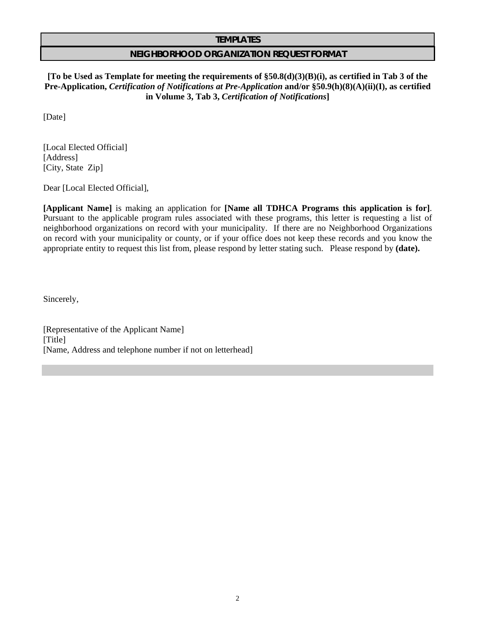#### **TEMPLATES**

### **NEIGHBORHOOD ORGANIZATION REQUEST FORMAT**

**[To be Used as Template for meeting the requirements of §50.8(d)(3)(B)(i), as certified in Tab 3 of the Pre-Application,** *Certification of Notifications at Pre-Application* **and/or §50.9(h)(8)(A)(ii)(I), as certified in Volume 3, Tab 3,** *Certification of Notifications***]** 

[Date]

[Local Elected Official] [Address] [City, State Zip]

Dear [Local Elected Official],

**[Applicant Name]** is making an application for **[Name all TDHCA Programs this application is for]**. Pursuant to the applicable program rules associated with these programs, this letter is requesting a list of neighborhood organizations on record with your municipality. If there are no Neighborhood Organizations on record with your municipality or county, or if your office does not keep these records and you know the appropriate entity to request this list from, please respond by letter stating such. Please respond by **(date).**

Sincerely,

[Representative of the Applicant Name] [Title] [Name, Address and telephone number if not on letterhead]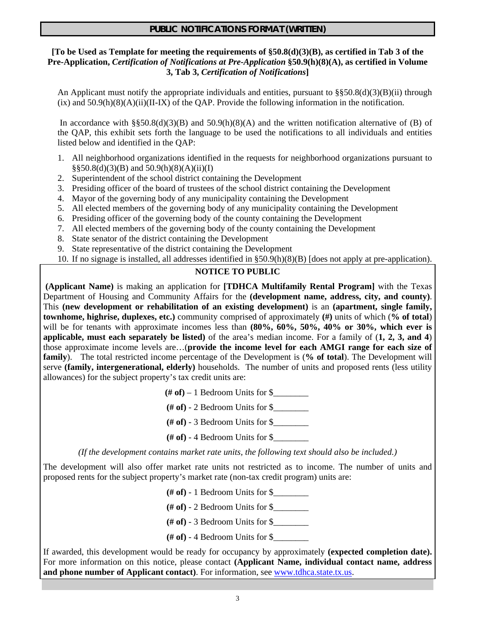# **PUBLIC NOTIFICATIONS FORMAT (WRITTEN)**

### **[To be Used as Template for meeting the requirements of §50.8(d)(3)(B), as certified in Tab 3 of the Pre-Application,** *Certification of Notifications at Pre-Application* **§50.9(h)(8)(A), as certified in Volume 3, Tab 3,** *Certification of Notifications***]**

An Applicant must notify the appropriate individuals and entities, pursuant to  $\S$ §50.8(d)(3)(B)(ii) through  $(ix)$  and  $50.9(h)(8)(A)(ii)(II-K)$  of the OAP. Provide the following information in the notification.

In accordance with §§50.8(d)(3)(B) and 50.9(h)(8)(A) and the written notification alternative of (B) of the QAP, this exhibit sets forth the language to be used the notifications to all individuals and entities listed below and identified in the QAP:

- 1. All neighborhood organizations identified in the requests for neighborhood organizations pursuant to  $\S$ §50.8(d)(3)(B) and 50.9(h)(8)(A)(ii)(I)
- 2. Superintendent of the school district containing the Development
- 3. Presiding officer of the board of trustees of the school district containing the Development
- 4. Mayor of the governing body of any municipality containing the Development
- 5. All elected members of the governing body of any municipality containing the Development
- 6. Presiding officer of the governing body of the county containing the Development
- 7. All elected members of the governing body of the county containing the Development
- 8. State senator of the district containing the Development
- 9. State representative of the district containing the Development
- 10. If no signage is installed, all addresses identified in §50.9(h)(8)(B) [does not apply at pre-application).

## **NOTICE TO PUBLIC**

**(Applicant Name)** is making an application for **[TDHCA Multifamily Rental Program]** with the Texas Department of Housing and Community Affairs for the **(development name, address, city, and county)**. This **(new development or rehabilitation of an existing development)** is an **(apartment, single family, townhome, highrise, duplexes, etc.)** community comprised of approximately **(#)** units of which (**% of total**) will be for tenants with approximate incomes less than **(80%, 60%, 50%, 40% or 30%, which ever is applicable, must each separately be listed)** of the area's median income. For a family of (**1, 2, 3, and 4**) those approximate income levels are…(**provide the income level for each AMGI range for each size of family**). The total restricted income percentage of the Development is (**% of total**). The Development will serve **(family, intergenerational, elderly)** households. The number of units and proposed rents (less utility allowances) for the subject property's tax credit units are:

 $(\# \text{ of}) - 1$  Bedroom Units for \$

- **(# of)** 2 Bedroom Units for  $\$
- **(# of)** 3 Bedroom Units for \$\_\_\_\_\_\_\_\_
- **(# of)** 4 Bedroom Units for \$\_\_\_\_\_\_\_\_

*(If the development contains market rate units, the following text should also be included.)* 

The development will also offer market rate units not restricted as to income. The number of units and proposed rents for the subject property's market rate (non-tax credit program) units are:

**(# of)** - 1 Bedroom Units for \$\_\_\_\_\_\_\_\_

**(# of)** - 2 Bedroom Units for \$\_\_\_\_\_\_\_\_

**(# of)** - 3 Bedroom Units for \$\_\_\_\_\_\_\_\_

**(# of)** - 4 Bedroom Units for  $\$$ 

If awarded, this development would be ready for occupancy by approximately **(expected completion date).**  For more information on this notice, please contact **(Applicant Name, individual contact name, address**  and phone number of Applicant contact). For information, see www.tdhca.state.tx.us.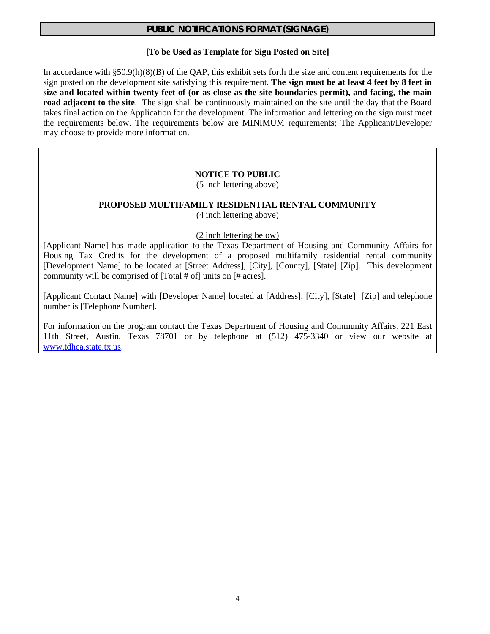## **PUBLIC NOTIFICATIONS FORMAT (SIGNAGE)**

#### **[To be Used as Template for Sign Posted on Site]**

In accordance with  $\S 50.9(h)(8)(B)$  of the QAP, this exhibit sets forth the size and content requirements for the sign posted on the development site satisfying this requirement. **The sign must be at least 4 feet by 8 feet in size and located within twenty feet of (or as close as the site boundaries permit), and facing, the main road adjacent to the site**. The sign shall be continuously maintained on the site until the day that the Board takes final action on the Application for the development. The information and lettering on the sign must meet the requirements below. The requirements below are MINIMUM requirements; The Applicant/Developer may choose to provide more information.

#### **NOTICE TO PUBLIC**

(5 inch lettering above)

#### **PROPOSED MULTIFAMILY RESIDENTIAL RENTAL COMMUNITY** (4 inch lettering above)

### (2 inch lettering below)

[Applicant Name] has made application to the Texas Department of Housing and Community Affairs for Housing Tax Credits for the development of a proposed multifamily residential rental community [Development Name] to be located at [Street Address], [City], [County], [State] [Zip]. This development community will be comprised of [Total # of] units on [# acres].

[Applicant Contact Name] with [Developer Name] located at [Address], [City], [State] [Zip] and telephone number is [Telephone Number].

For information on the program contact the Texas Department of Housing and Community Affairs, 221 East 11th Street, Austin, Texas 78701 or by telephone at (512) 475-3340 or view our website at www.tdhca.state.tx.us.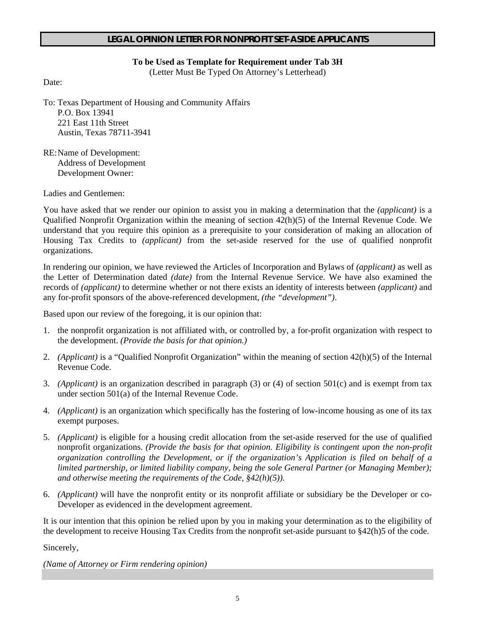## **LEGAL OPINION LETTER FOR NONPROFIT SET-ASIDE APPLICANTS**

## **To be Used as Template for Requirement under Tab 3H**

(Letter Must Be Typed On Attorney's Letterhead)

Date:

To: Texas Department of Housing and Community Affairs P.O. Box 13941 221 East 11th Street Austin, Texas 78711-3941

RE: Name of Development: Address of Development Development Owner:

Ladies and Gentlemen:

You have asked that we render our opinion to assist you in making a determination that the *(applicant)* is a Qualified Nonprofit Organization within the meaning of section 42(h)(5) of the Internal Revenue Code. We understand that you require this opinion as a prerequisite to your consideration of making an allocation of Housing Tax Credits to *(applicant)* from the set-aside reserved for the use of qualified nonprofit organizations.

In rendering our opinion, we have reviewed the Articles of Incorporation and Bylaws of *(applicant)* as well as the Letter of Determination dated *(date)* from the Internal Revenue Service. We have also examined the records of *(applicant)* to determine whether or not there exists an identity of interests between *(applicant)* and any for-profit sponsors of the above-referenced development, *(the "development")*.

Based upon our review of the foregoing, it is our opinion that:

- 1. the nonprofit organization is not affiliated with, or controlled by, a for-profit organization with respect to the development. *(Provide the basis for that opinion.)*
- 2. *(Applicant)* is a "Qualified Nonprofit Organization" within the meaning of section 42(h)(5) of the Internal Revenue Code.
- 3. *(Applicant)* is an organization described in paragraph (3) or (4) of section 501(c) and is exempt from tax under section 501(a) of the Internal Revenue Code.
- 4. *(Applicant)* is an organization which specifically has the fostering of low-income housing as one of its tax exempt purposes.
- 5. *(Applicant)* is eligible for a housing credit allocation from the set-aside reserved for the use of qualified nonprofit organizations. *(Provide the basis for that opinion. Eligibility is contingent upon the non-profit organization controlling the Development, or if the organization's Application is filed on behalf of a limited partnership, or limited liability company, being the sole General Partner (or Managing Member); and otherwise meeting the requirements of the Code, §42(h)(5)).*
- 6. *(Applicant)* will have the nonprofit entity or its nonprofit affiliate or subsidiary be the Developer or co-Developer as evidenced in the development agreement.

It is our intention that this opinion be relied upon by you in making your determination as to the eligibility of the development to receive Housing Tax Credits from the nonprofit set-aside pursuant to §42(h)5 of the code.

Sincerely,

*(Name of Attorney or Firm rendering opinion)*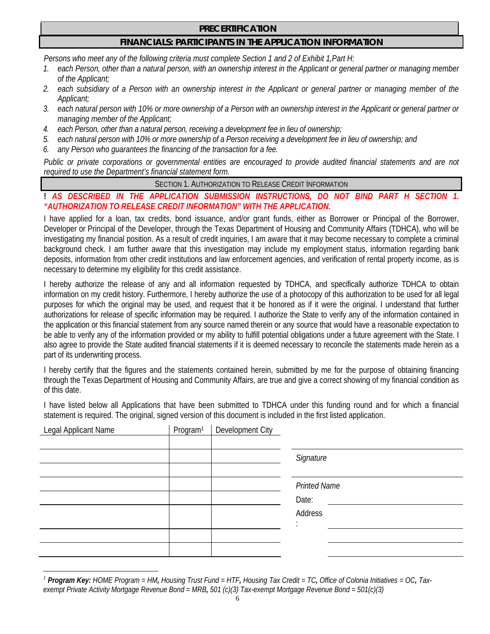## **PRECERTIFICATION**

# **FINANCIALS: PARTICIPANTS IN THE APPLICATION INFORMATION**

*Persons who meet any of the following criteria must complete Section 1 and 2 of Exhibit 1,Part H:*

- *1. each Person, other than a natural person, with an ownership interest in the Applicant or general partner or managing member of the Applicant;*
- *2. each subsidiary of a Person with an ownership interest in the Applicant or general partner or managing member of the Applicant;*
- *3. each natural person with 10% or more ownership of a Person with an ownership interest in the Applicant or general partner or managing member of the Applicant;*
- *4. each Person, other than a natural person, receiving a development fee in lieu of ownership;*
- *5. each natural person with 10% or more ownership of a Person receiving a development fee in lieu of ownership; and*
- *6. any Person who guarantees the financing of the transaction for a fee.*

*Public or private corporations or governmental entities are encouraged to provide audited financial statements and are not required to use the Department's financial statement form.* 

SECTION 1. AUTHORIZATION TO RELEASE CREDIT INFORMATION

# ! AS DESCRIBED IN THE APPLICATION SUBMISSION INSTRUCTIONS, DO NOT BIND PART *"AUTHORIZATION TO RELEASE CREDIT INFORMATION" WITH THE APPLICATION.*

I have applied for a loan, tax credits, bond issuance, and/or grant funds, either as Borrower or Principal of the Borrower, Developer or Principal of the Developer, through the Texas Department of Housing and Community Affairs (TDHCA), who will be investigating my financial position. As a result of credit inquiries, I am aware that it may become necessary to complete a criminal background check. I am further aware that this investigation may include my employment status, information regarding bank deposits, information from other credit institutions and law enforcement agencies, and verification of rental property income, as is necessary to determine my eligibility for this credit assistance.

I hereby authorize the release of any and all information requested by TDHCA, and specifically authorize TDHCA to obtain information on my credit history. Furthermore, I hereby authorize the use of a photocopy of this authorization to be used for all legal purposes for which the original may be used, and request that it be honored as if it were the original. I understand that further authorizations for release of specific information may be required. I authorize the State to verify any of the information contained in the application or this financial statement from any source named therein or any source that would have a reasonable expectation to be able to verify any of the information provided or my ability to fulfill potential obligations under a future agreement with the State. I also agree to provide the State audited financial statements if it is deemed necessary to reconcile the statements made herein as a part of its underwriting process.

I hereby certify that the figures and the statements contained herein, submitted by me for the purpose of obtaining financing through the Texas Department of Housing and Community Affairs, are true and give a correct showing of my financial condition as of this date.

I have listed below all Applications that have been submitted to TDHCA under this funding round and for which a financial statement is required. The original, signed version of this document is included in the first listed application.

| Legal Applicant Name | Program <sup>1</sup> | Development City |                     |
|----------------------|----------------------|------------------|---------------------|
|                      |                      |                  |                     |
|                      |                      |                  | Signature           |
|                      |                      |                  |                     |
|                      |                      |                  | <b>Printed Name</b> |
|                      |                      |                  | Date:               |
|                      |                      |                  | Address             |
|                      |                      |                  |                     |
|                      |                      |                  |                     |
|                      |                      |                  |                     |

 $\overline{a}$ *<sup>1</sup> Program Key: HOME Program = HM, Housing Trust Fund = HTF, Housing Tax Credit = TC, Office of Colonia Initiatives = OC, Taxexempt Private Activity Mortgage Revenue Bond = MRB, 501 (c)(3) Tax-exempt Mortgage Revenue Bond = 501(c)(3)*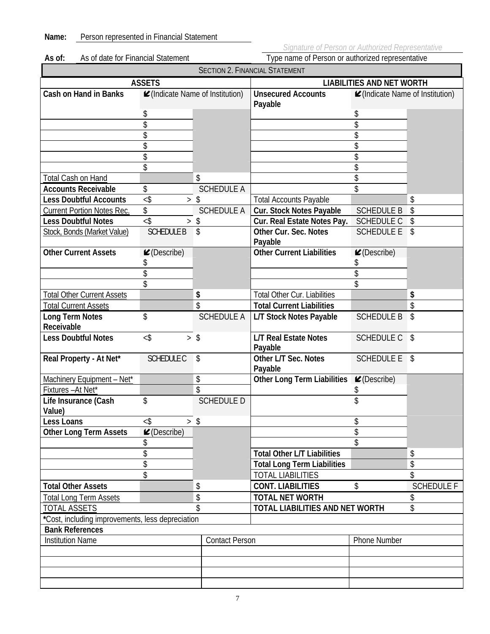**Name:** Person represented in Financial Statement

|        |                                    | Sianature ot Person or Authorized F              |
|--------|------------------------------------|--------------------------------------------------|
| As of: | As of date for Financial Statement | Type name of Person or authorized representative |

| <b>SECTION 2. FINANCIAL STATEMENT</b>            |                                |                                         |                                         |                                        |                     |  |  |  |  |
|--------------------------------------------------|--------------------------------|-----------------------------------------|-----------------------------------------|----------------------------------------|---------------------|--|--|--|--|
|                                                  | <b>ASSETS</b>                  |                                         | <b>LIABILITIES AND NET WORTH</b>        |                                        |                     |  |  |  |  |
| <b>Cash on Hand in Banks</b>                     |                                | <b></b> ⊿(Indicate Name of Institution) | <b>Unsecured Accounts</b><br>Payable    | <b></b> (Indicate Name of Institution) |                     |  |  |  |  |
|                                                  | \$                             |                                         |                                         | \$                                     |                     |  |  |  |  |
|                                                  | \$                             |                                         |                                         |                                        |                     |  |  |  |  |
|                                                  | \$                             |                                         |                                         | \$                                     |                     |  |  |  |  |
|                                                  | \$                             |                                         |                                         |                                        |                     |  |  |  |  |
|                                                  | \$                             |                                         |                                         | \$                                     |                     |  |  |  |  |
|                                                  | \$                             |                                         |                                         |                                        |                     |  |  |  |  |
| Total Cash on Hand                               |                                | \$                                      |                                         | \$                                     |                     |  |  |  |  |
| <b>Accounts Receivable</b>                       | \$                             | <b>SCHEDULE A</b>                       |                                         | \$                                     |                     |  |  |  |  |
| <b>Less Doubtful Accounts</b>                    | $<$ \$                         | > \$                                    | <b>Total Accounts Payable</b>           |                                        | \$                  |  |  |  |  |
| <b>Current Portion Notes Rec.</b>                | \$                             | <b>SCHEDULE A</b>                       | Cur. Stock Notes Payable                | <b>SCHEDULE B</b>                      | \$                  |  |  |  |  |
| <b>Less Doubtful Notes</b>                       | $<$ \$<br>>                    | \$                                      | Cur. Real Estate Notes Pay.             | <b>SCHEDULE C</b>                      | \$                  |  |  |  |  |
| Stock, Bonds (Market Value)                      | <b>SCHEDULE B</b>              | \$                                      | Other Cur. Sec. Notes<br>Payable        | <b>SCHEDULE E</b>                      | $\mathcal{L}$       |  |  |  |  |
| <b>Other Current Assets</b>                      | $\mathcal{L}$ (Describe)<br>\$ |                                         | <b>Other Current Liabilities</b>        | $\mathcal{L}$ (Describe)               |                     |  |  |  |  |
|                                                  | \$                             |                                         |                                         |                                        |                     |  |  |  |  |
|                                                  | \$                             |                                         |                                         | \$                                     |                     |  |  |  |  |
| <b>Total Other Current Assets</b>                |                                | \$                                      | <b>Total Other Cur. Liabilities</b>     |                                        | \$                  |  |  |  |  |
| <b>Total Current Assets</b>                      |                                | \$                                      | <b>Total Current Liabilities</b>        |                                        | \$                  |  |  |  |  |
| <b>Long Term Notes</b>                           | \$                             | <b>SCHEDULE A</b>                       | L/T Stock Notes Payable                 | <b>SCHEDULE B</b>                      | \$                  |  |  |  |  |
| Receivable                                       |                                |                                         |                                         |                                        |                     |  |  |  |  |
| <b>Less Doubtful Notes</b>                       | $<$ \$                         | > \$                                    | <b>L/T Real Estate Notes</b><br>Payable | <b>SCHEDULE C</b>                      | $\mathsf{s}$        |  |  |  |  |
| Real Property - At Net*                          | <b>SCHEDULE C</b>              | \$                                      | Other L/T Sec. Notes<br>Payable         | SCHEDULE E \$                          |                     |  |  |  |  |
| Machinery Equipment - Net*                       |                                | \$                                      | <b>Other Long Term Liabilities</b>      | $\mathcal{L}$ (Describe)               |                     |  |  |  |  |
| Fixtures - At Net*                               |                                | \$                                      |                                         |                                        |                     |  |  |  |  |
| Life Insurance (Cash                             | \$                             | <b>SCHEDULE D</b>                       |                                         |                                        |                     |  |  |  |  |
| Value)                                           |                                |                                         |                                         |                                        |                     |  |  |  |  |
| Less Loans                                       | $<$ \$<br>$\,>$                | \$                                      |                                         |                                        |                     |  |  |  |  |
| <b>Other Long Term Assets</b>                    | $\mathcal{L}$ (Describe)       |                                         |                                         | \$                                     |                     |  |  |  |  |
|                                                  | \$                             |                                         |                                         | \$                                     |                     |  |  |  |  |
|                                                  | \$                             |                                         | <b>Total Other L/T Liabilities</b>      |                                        | \$                  |  |  |  |  |
|                                                  | \$                             |                                         | <b>Total Long Term Liabilities</b>      |                                        | \$                  |  |  |  |  |
|                                                  | \$                             |                                         | <b>TOTAL LIABILITIES</b>                |                                        | \$                  |  |  |  |  |
| <b>Total Other Assets</b>                        |                                | \$                                      | <b>CONT. LIABILITIES</b>                | \$                                     | <b>SCHEDULE F</b>   |  |  |  |  |
| <b>Total Long Term Assets</b>                    |                                | \$                                      | <b>TOTAL NET WORTH</b>                  |                                        | \$                  |  |  |  |  |
| <b>TOTAL ASSETS</b>                              |                                | \$                                      | TOTAL LIABILITIES AND NET WORTH         |                                        | \$                  |  |  |  |  |
| *Cost, including improvements, less depreciation |                                |                                         |                                         |                                        |                     |  |  |  |  |
| <b>Bank References</b>                           |                                |                                         |                                         |                                        |                     |  |  |  |  |
| <b>Institution Name</b>                          |                                |                                         | <b>Contact Person</b>                   |                                        | <b>Phone Number</b> |  |  |  |  |
|                                                  |                                |                                         |                                         |                                        |                     |  |  |  |  |
|                                                  |                                |                                         |                                         |                                        |                     |  |  |  |  |
|                                                  |                                |                                         |                                         |                                        |                     |  |  |  |  |
|                                                  |                                |                                         |                                         |                                        |                     |  |  |  |  |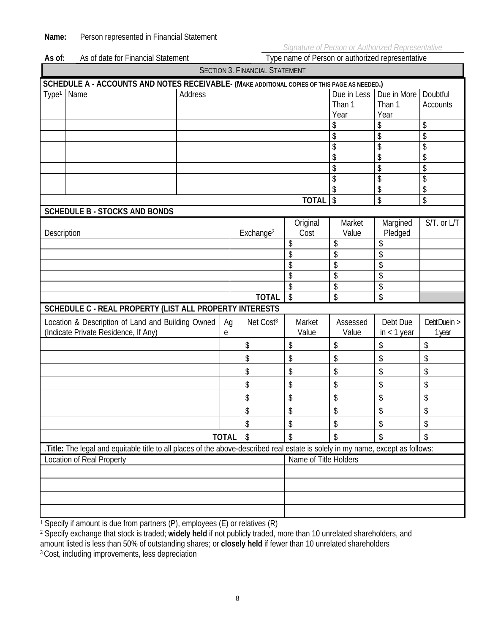| As of:                                                                                               | Type name of Person or authorized representative<br>As of date for Financial Statement                                          |         |              |                       |                       |                               |                               |                             |  |
|------------------------------------------------------------------------------------------------------|---------------------------------------------------------------------------------------------------------------------------------|---------|--------------|-----------------------|-----------------------|-------------------------------|-------------------------------|-----------------------------|--|
| <b>SECTION 3. FINANCIAL STATEMENT</b>                                                                |                                                                                                                                 |         |              |                       |                       |                               |                               |                             |  |
| SCHEDULE A - ACCOUNTS AND NOTES RECEIVABLE- (MAKE ADDITIONAL COPIES OF THIS PAGE AS NEEDED.)         |                                                                                                                                 |         |              |                       |                       |                               |                               |                             |  |
| Type <sup>1</sup>                                                                                    | Name                                                                                                                            | Address |              |                       |                       | Due in Less<br>Than 1<br>Year | Due in More<br>Than 1<br>Year | Doubtful<br><b>Accounts</b> |  |
|                                                                                                      |                                                                                                                                 |         |              |                       |                       | \$                            | \$                            | \$                          |  |
|                                                                                                      |                                                                                                                                 |         |              |                       |                       | \$                            | \$                            | \$                          |  |
|                                                                                                      |                                                                                                                                 |         |              |                       |                       | \$                            | \$                            | \$                          |  |
|                                                                                                      |                                                                                                                                 |         |              |                       |                       | \$                            | \$                            | \$                          |  |
|                                                                                                      |                                                                                                                                 |         |              |                       |                       | \$                            | \$                            | \$                          |  |
|                                                                                                      |                                                                                                                                 |         |              |                       |                       | \$                            | \$                            | \$                          |  |
|                                                                                                      |                                                                                                                                 |         |              |                       |                       |                               | \$                            | \$                          |  |
|                                                                                                      |                                                                                                                                 |         |              |                       | <b>TOTAL</b>          | \$                            | \$                            | \$                          |  |
|                                                                                                      | <b>SCHEDULE B - STOCKS AND BONDS</b>                                                                                            |         |              |                       |                       |                               |                               |                             |  |
| Description                                                                                          |                                                                                                                                 |         |              | Exchange <sup>2</sup> | Original<br>Cost      | Market<br>Value               | Margined<br>Pledged           | S/T. or L/T                 |  |
|                                                                                                      |                                                                                                                                 |         |              |                       | \$                    | \$                            | \$                            |                             |  |
|                                                                                                      |                                                                                                                                 |         |              |                       | \$                    | \$                            |                               |                             |  |
|                                                                                                      |                                                                                                                                 |         |              |                       | \$                    | \$                            | \$                            |                             |  |
|                                                                                                      |                                                                                                                                 |         |              |                       | \$                    | \$                            | \$                            |                             |  |
|                                                                                                      |                                                                                                                                 |         |              |                       | \$                    | \$                            | \$                            |                             |  |
|                                                                                                      |                                                                                                                                 |         |              | <b>TOTAL</b>          | \$                    | \$                            | \$                            |                             |  |
|                                                                                                      | SCHEDULE C - REAL PROPERTY (LIST ALL PROPERTY INTERESTS                                                                         |         |              |                       |                       |                               |                               |                             |  |
| Location & Description of Land and Building Owned<br>Ag<br>(Indicate Private Residence, If Any)<br>e |                                                                                                                                 |         |              | Net Cost <sup>3</sup> | Market<br>Value       | Assessed<br>Value             | Debt Due<br>$in < 1$ year     | DebtDue in ><br>1 year      |  |
|                                                                                                      |                                                                                                                                 |         |              | \$                    | \$                    | \$                            | \$                            | \$                          |  |
|                                                                                                      |                                                                                                                                 |         |              | \$                    | \$                    | \$                            | \$                            | \$                          |  |
|                                                                                                      |                                                                                                                                 |         |              | \$                    | \$                    | \$                            | \$                            | \$                          |  |
|                                                                                                      |                                                                                                                                 |         |              | \$                    | \$                    | \$                            | \$                            | \$                          |  |
|                                                                                                      |                                                                                                                                 |         |              | \$                    | \$                    | \$                            | \$                            | \$                          |  |
|                                                                                                      |                                                                                                                                 |         |              | \$                    | \$                    | \$                            | \$                            | \$                          |  |
|                                                                                                      |                                                                                                                                 |         |              | \$                    | \$                    | \$                            | \$                            | \$                          |  |
|                                                                                                      |                                                                                                                                 |         | <b>TOTAL</b> | \$                    | $\mathcal{L}$         | \$                            | \$                            | \$                          |  |
|                                                                                                      | .Title: The legal and equitable title to all places of the above-described real estate is solely in my name, except as follows: |         |              |                       |                       |                               |                               |                             |  |
| <b>Location of Real Property</b>                                                                     |                                                                                                                                 |         |              |                       | Name of Title Holders |                               |                               |                             |  |
|                                                                                                      |                                                                                                                                 |         |              |                       |                       |                               |                               |                             |  |
|                                                                                                      |                                                                                                                                 |         |              |                       |                       |                               |                               |                             |  |
|                                                                                                      |                                                                                                                                 |         |              |                       |                       |                               |                               |                             |  |
|                                                                                                      |                                                                                                                                 |         |              |                       |                       |                               |                               |                             |  |
|                                                                                                      |                                                                                                                                 |         |              |                       |                       |                               |                               |                             |  |

<sup>1</sup> Specify if amount is due from partners (P), employees (E) or relatives (R)

2 Specify exchange that stock is traded; **widely held** if not publicly traded, more than 10 unrelated shareholders, and amount listed is less than 50% of outstanding shares; or **closely held** if fewer than 10 unrelated shareholders 3 Cost, including improvements, less depreciation